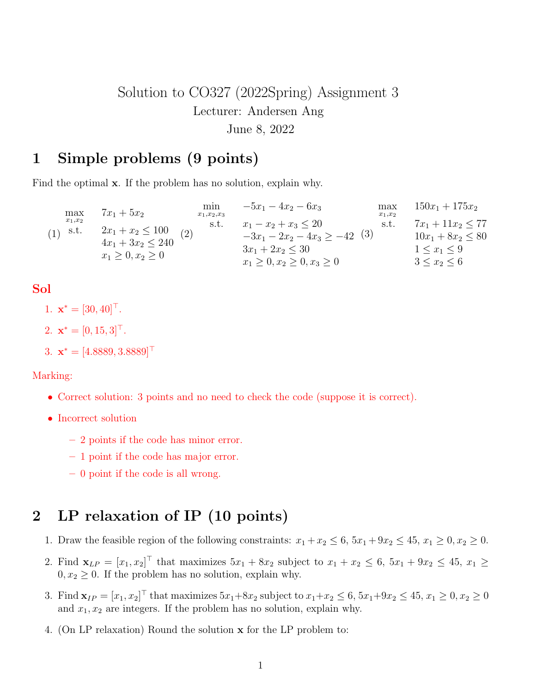# Solution to CO327 (2022Spring) Assignment 3 Lecturer: Andersen Ang June 8, 2022

### 1 Simple problems (9 points)

Find the optimal **x**. If the problem has no solution, explain why.

| max               | $7x_1 + 5x_2$                                                              | min<br>$x_1, x_2, x_3$ | $-5x_1-4x_2-6x_3$                                                                                                           | max<br>$x_1,x_2$ | $150x_1 + 175x_2$                                                                        |
|-------------------|----------------------------------------------------------------------------|------------------------|-----------------------------------------------------------------------------------------------------------------------------|------------------|------------------------------------------------------------------------------------------|
| $x_1,x_2$<br>s.t. | $2x_1 + x_2 \le 100$<br>$4x_1 + 3x_2 \leq 240$<br>$x_1 \geq 0, x_2 \geq 0$ | s.t.<br>(2)            | $x_1 - x_2 + x_3 \leq 20$<br>$-3x_1 - 2x_2 - 4x_3 \ge -42$<br>$3x_1 + 2x_2 \leq 30$<br>$x_1 \geq 0, x_2 \geq 0, x_3 \geq 0$ | s.t.<br>(3)      | $7x_1 + 11x_2 \leq 77$<br>$10x_1 + 8x_2 \leq 80$<br>$1 < x_1 < 9$<br>$3 \leq x_2 \leq 6$ |
|                   |                                                                            |                        |                                                                                                                             |                  |                                                                                          |

### Sol

1.  $\mathbf{x}^* = [30, 40]^\top$ .

2.  $\mathbf{x}^* = [0, 15, 3]^\top$ .

3. 
$$
\mathbf{x}^* = [4.8889, 3.8889]^{\top}
$$

#### Marking:

- Correct solution: 3 points and no need to check the code (suppose it is correct).
- Incorrect solution
	- 2 points if the code has minor error.
	- 1 point if the code has major error.
	- 0 point if the code is all wrong.

### 2 LP relaxation of IP (10 points)

- 1. Draw the feasible region of the following constraints:  $x_1 + x_2 \le 6$ ,  $5x_1 + 9x_2 \le 45$ ,  $x_1 \ge 0$ ,  $x_2 \ge 0$ .
- 2. Find  $\mathbf{x}_{LP} = [x_1, x_2]^\top$  that maximizes  $5x_1 + 8x_2$  subject to  $x_1 + x_2 \le 6$ ,  $5x_1 + 9x_2 \le 45$ ,  $x_1 \ge$  $0, x_2 \geq 0$ . If the problem has no solution, explain why.
- 3. Find  $\mathbf{x}_{IP} = [x_1, x_2]^\top$  that maximizes  $5x_1 + 8x_2$  subject to  $x_1 + x_2 \le 6$ ,  $5x_1 + 9x_2 \le 45$ ,  $x_1 \ge 0$ ,  $x_2 \ge 0$ and  $x_1, x_2$  are integers. If the problem has no solution, explain why.
- 4. (On LP relaxation) Round the solution x for the LP problem to: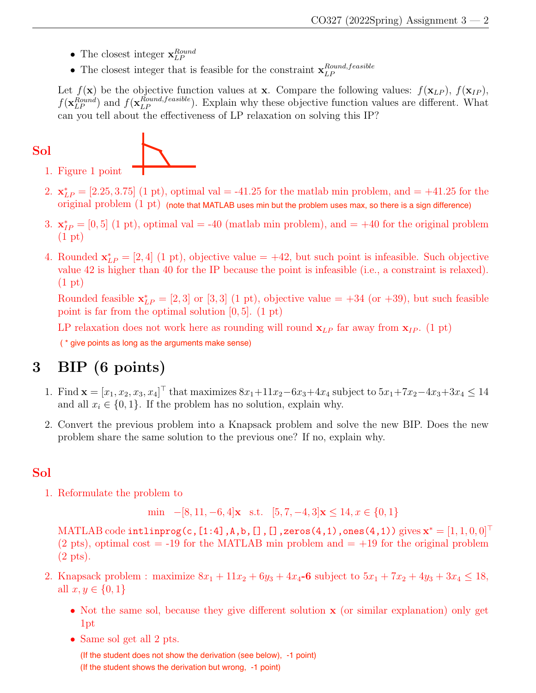- The closest integer  $\mathbf{x}_{LP}^{Round}$
- The closest integer that is feasible for the constraint  $\mathbf{x}_{LP}^{Round,feasible}$ LP

Let  $f(\mathbf{x})$  be the objective function values at **x**. Compare the following values:  $f(\mathbf{x}_{LP})$ ,  $f(\mathbf{x}_{IP})$ ,  $f(\mathbf{x}_{LP}^{Round})$  and  $f(\mathbf{x}_{LP}^{Round,feasible})$ . Explain why these objective function values are different. What can you tell about the effectiveness of LP relaxation on solving this IP?

Sol 1. Figure 1 point

- 2.  $\mathbf{x}_{LP}^* = [2.25, 3.75]$  (1 pt), optimal val = -41.25 for the matlab min problem, and = +41.25 for the  $\rm original\ problem\ (1\ pt)$  (note that MATLAB uses min but the problem uses max, so there is a sign difference)
- 3.  $\mathbf{x}_{IP}^* = [0, 5]$  (1 pt), optimal val = -40 (matlab min problem), and = +40 for the original problem (1 pt)
- 4. Rounded  $\mathbf{x}_{LP}^* = [2, 4]$  (1 pt), objective value = +42, but such point is infeasible. Such objective value 42 is higher than 40 for the IP because the point is infeasible (i.e., a constraint is relaxed). (1 pt)

Rounded feasible  $\mathbf{x}_{LP}^* = [2, 3]$  or [3, 3] (1 pt), objective value = +34 (or +39), but such feasible point is far from the optimal solution  $[0, 5]$ . (1 pt)

LP relaxation does not work here as rounding will round  $\mathbf{x}_{LP}$  far away from  $\mathbf{x}_{IP}$ . (1 pt) ( \* give points as long as the arguments make sense)

## 3 BIP (6 points)

- 1. Find  $\mathbf{x} = [x_1, x_2, x_3, x_4]^\top$  that maximizes  $8x_1 + 11x_2 6x_3 + 4x_4$  subject to  $5x_1 + 7x_2 4x_3 + 3x_4 \le 14$ and all  $x_i \in \{0, 1\}$ . If the problem has no solution, explain why.
- 2. Convert the previous problem into a Knapsack problem and solve the new BIP. Does the new problem share the same solution to the previous one? If no, explain why.

### Sol

1. Reformulate the problem to

min  $-[8, 11, -6, 4]$ x s.t.  $[5, 7, -4, 3]$ x  $\leq 14, x \in \{0, 1\}$ 

 $\mathrm{MATLAB\ code\ intlinprog(c,[1:4],A,b,[],[]}$  ,zeros(4,1),ones(4,1))  $\mathrm{gives\ }mathbf{x}^*=[1,1,0,0]^{\top}$ (2 pts), optimal cost  $=$  -19 for the MATLAB min problem and  $=$  +19 for the original problem (2 pts).

- 2. Knapsack problem : maximize  $8x_1 + 11x_2 + 6y_3 + 4x_4 6$  subject to  $5x_1 + 7x_2 + 4y_3 + 3x_4 \le 18$ , all  $x, y \in \{0, 1\}$ 
	- Not the same sol, because they give different solution **x** (or similar explanation) only get 1pt
	- Same sol get all 2 pts.

(If the student does not show the derivation (see below), -1 point) (If the student shows the derivation but wrong, -1 point)